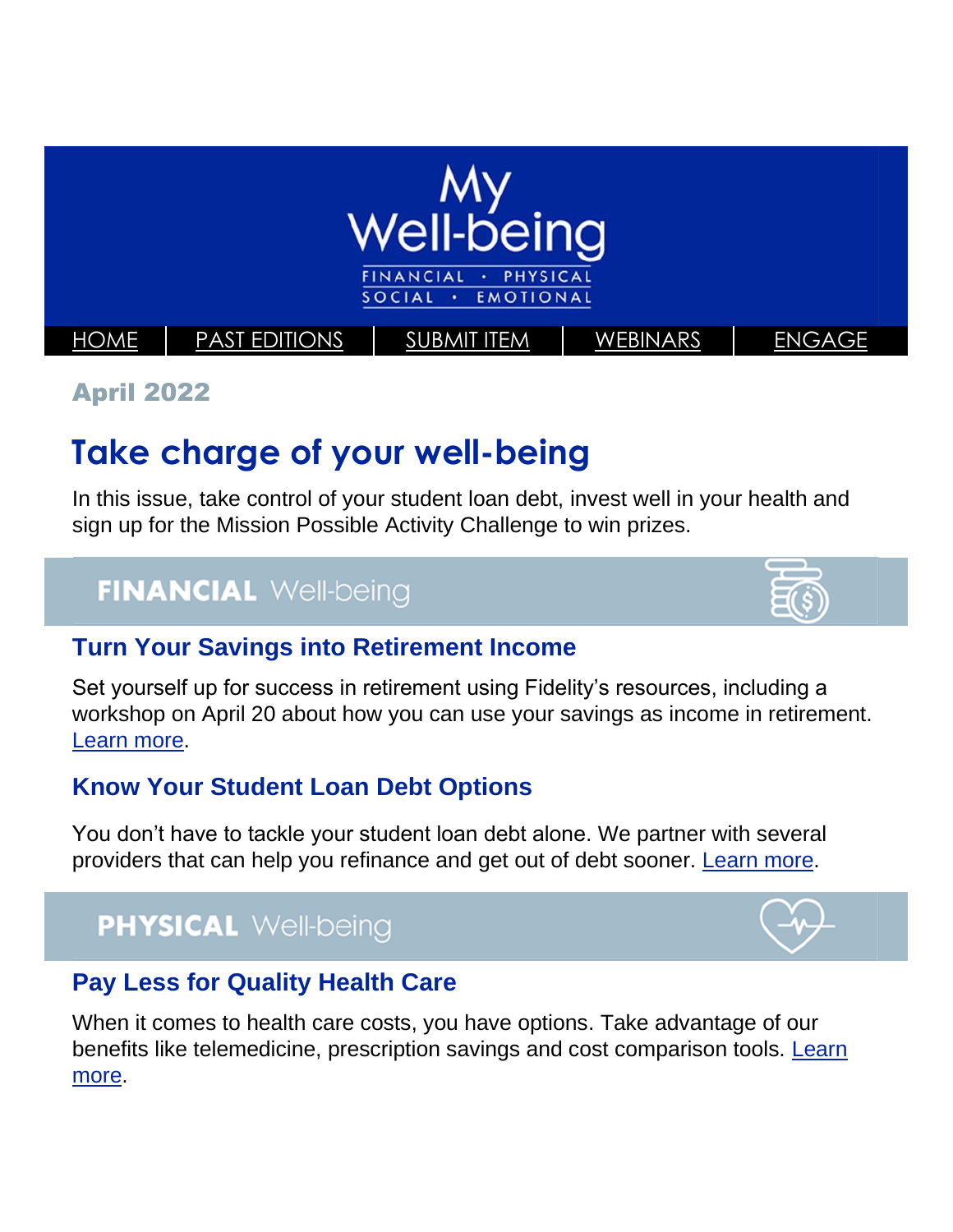

April 2022

# **Take charge of your well-being**

In this issue, take control of your student loan debt, invest well in your health and sign up for the Mission Possible Activity Challenge to win prizes.

## **FINANCIAL Well-being**



### **Turn Your Savings into Retirement Income**

Set yourself up for success in retirement using Fidelity's resources, including a workshop on April 20 about how you can use your savings as income in retirement. [Learn more.](https://totalrewards.northropgrumman.com/article/123/celebrate-financial-literacy-month)

### **Know Your Student Loan Debt Options**

You don't have to tackle your student loan debt alone. We partner with several providers that can help you refinance and get out of debt sooner. [Learn more.](https://totalrewards.northropgrumman.com/article/63/get-help-with-your-student-loan-debt)

## **PHYSICAL Well-being**



## **Pay Less for Quality Health Care**

When it comes to health care costs, you have options. Take advantage of our benefits like telemedicine, prescription savings and cost comparison tools. [Learn](https://totalrewards.northropgrumman.com/article/125/pay-less-out-of-pocket)  [more.](https://totalrewards.northropgrumman.com/article/125/pay-less-out-of-pocket)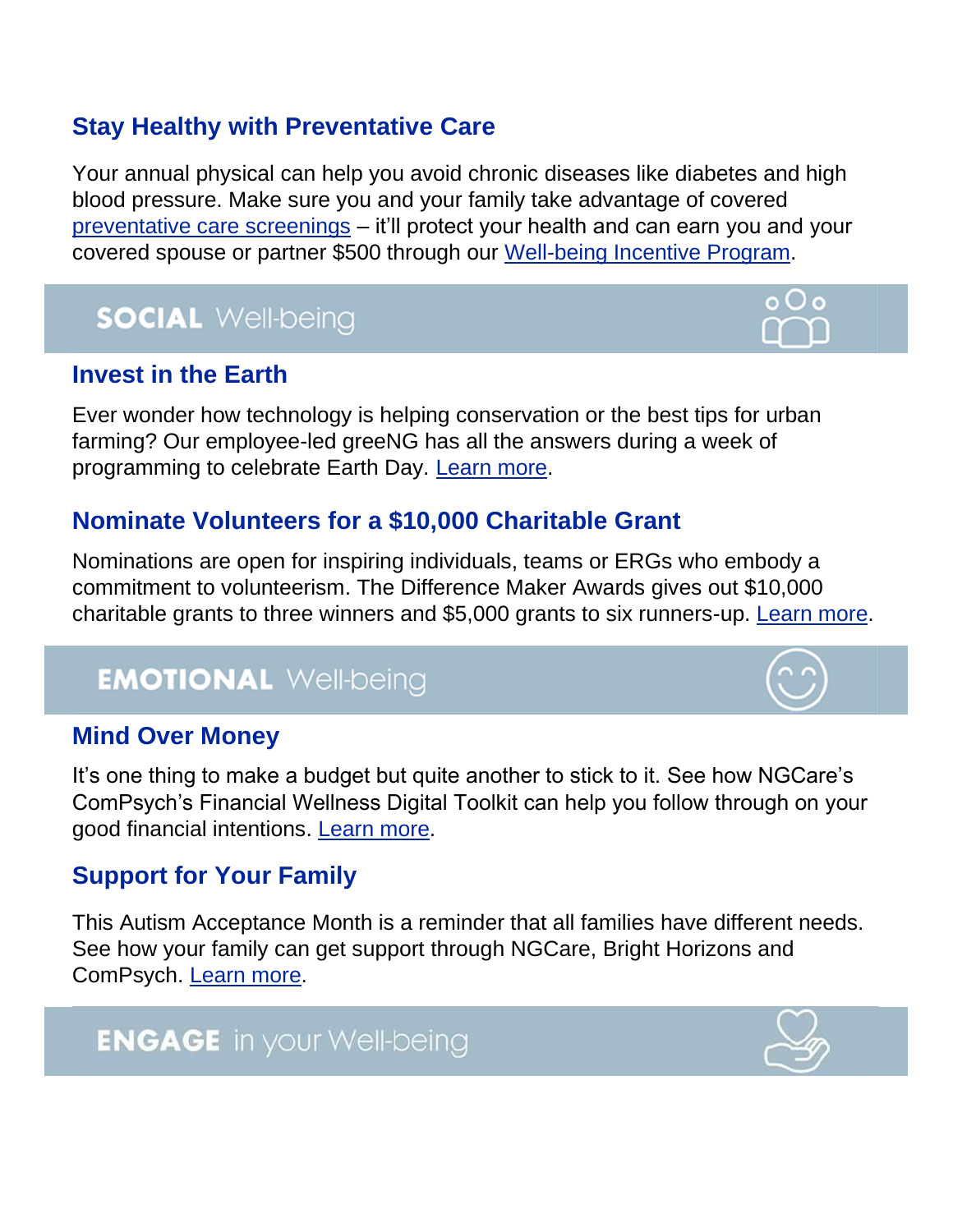## **Stay Healthy with Preventative Care**

Your annual physical can help you avoid chronic diseases like diabetes and high blood pressure. Make sure you and your family take advantage of covered [preventative care screenings](https://www.anthem.com/preventive-care-results/?gender=female&agecategory=50-64) – it'll protect your health and can earn you and your covered spouse or partner \$500 through our [Well-being Incentive Program.](https://totalrewards.northropgrumman.com/page/42/physical)

## **SOCIAL Well-being**



### **Invest in the Earth**

Ever wonder how technology is helping conservation or the best tips for urban farming? Our employee-led greeNG has all the answers during a week of programming to celebrate Earth Day. [Learn more.](https://totalrewards.northropgrumman.com/article/120/make-a-contribution-to-invest-in-the-earth)

## **Nominate Volunteers for a \$10,000 Charitable Grant**

Nominations are open for inspiring individuals, teams or ERGs who embody a commitment to volunteerism. The Difference Maker Awards gives out \$10,000 charitable grants to three winners and \$5,000 grants to six runners-up. [Learn more.](https://totalrewards.northropgrumman.com/article/126/calling-all-volunteers)

## **EMOTIONAL Well-being**

### **Mind Over Money**

It's one thing to make a budget but quite another to stick to it. See how NGCare's ComPsych's Financial Wellness Digital Toolkit can help you follow through on your good financial intentions. [Learn more.](https://totalrewards.northropgrumman.com/article/124/mind-over-money)

### **Support for Your Family**

This Autism Acceptance Month is a reminder that all families have different needs. See how your family can get support through NGCare, Bright Horizons and ComPsych. [Learn more.](https://totalrewards.northropgrumman.com/article/121/take-care-of-your-family)

## **ENGAGE** in your Well-being